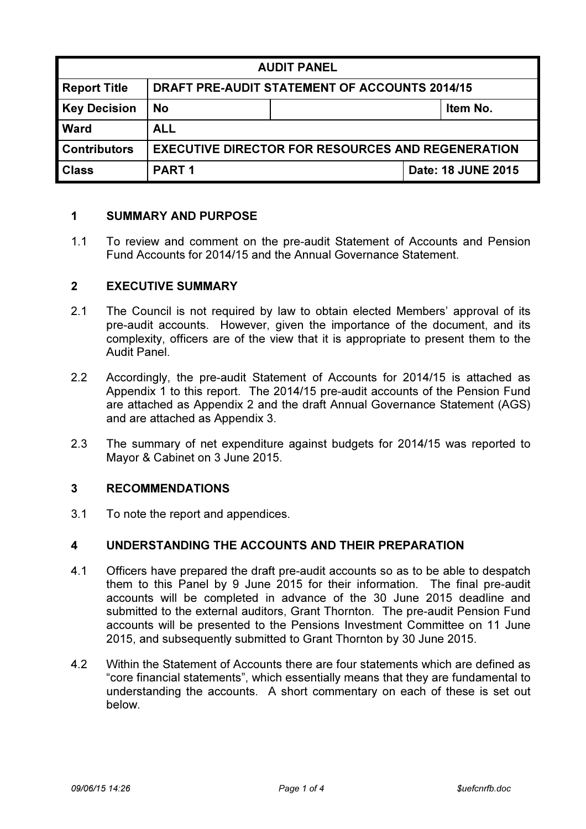| <b>AUDIT PANEL</b>  |                                                          |  |                    |
|---------------------|----------------------------------------------------------|--|--------------------|
| <b>Report Title</b> | <b>DRAFT PRE-AUDIT STATEMENT OF ACCOUNTS 2014/15</b>     |  |                    |
| <b>Key Decision</b> | <b>No</b>                                                |  | Item No.           |
| <b>Ward</b>         | <b>ALL</b>                                               |  |                    |
| <b>Contributors</b> | <b>EXECUTIVE DIRECTOR FOR RESOURCES AND REGENERATION</b> |  |                    |
| <b>Class</b>        | <b>PART1</b>                                             |  | Date: 18 JUNE 2015 |

## 1 SUMMARY AND PURPOSE

1.1 To review and comment on the pre-audit Statement of Accounts and Pension Fund Accounts for 2014/15 and the Annual Governance Statement.

## 2 EXECUTIVE SUMMARY

- 2.1 The Council is not required by law to obtain elected Members' approval of its pre-audit accounts. However, given the importance of the document, and its complexity, officers are of the view that it is appropriate to present them to the Audit Panel.
- 2.2 Accordingly, the pre-audit Statement of Accounts for 2014/15 is attached as Appendix 1 to this report. The 2014/15 pre-audit accounts of the Pension Fund are attached as Appendix 2 and the draft Annual Governance Statement (AGS) and are attached as Appendix 3.
- 2.3 The summary of net expenditure against budgets for 2014/15 was reported to Mayor & Cabinet on 3 June 2015.

# 3 RECOMMENDATIONS

3.1 To note the report and appendices.

#### 4 UNDERSTANDING THE ACCOUNTS AND THEIR PREPARATION

- 4.1 Officers have prepared the draft pre-audit accounts so as to be able to despatch them to this Panel by 9 June 2015 for their information. The final pre-audit accounts will be completed in advance of the 30 June 2015 deadline and submitted to the external auditors, Grant Thornton. The pre-audit Pension Fund accounts will be presented to the Pensions Investment Committee on 11 June 2015, and subsequently submitted to Grant Thornton by 30 June 2015.
- 4.2 Within the Statement of Accounts there are four statements which are defined as "core financial statements", which essentially means that they are fundamental to understanding the accounts. A short commentary on each of these is set out below.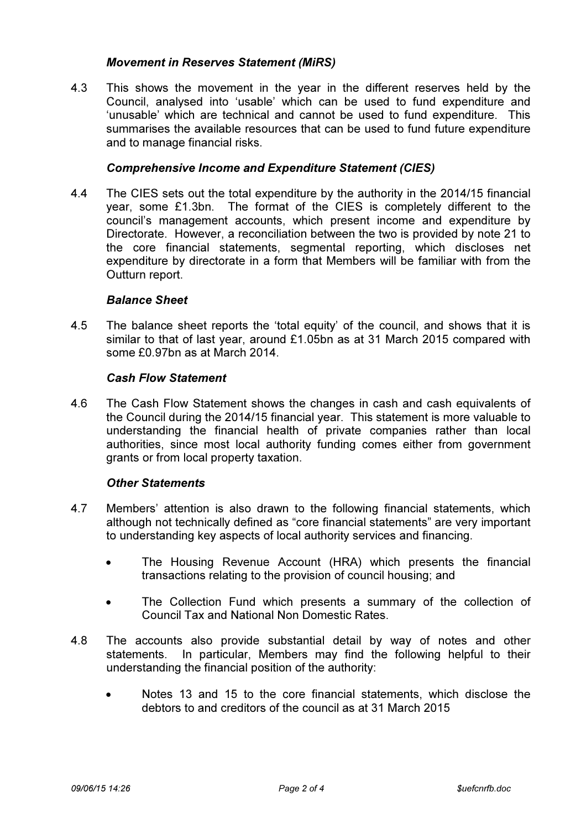# Movement in Reserves Statement (MiRS)

4.3 This shows the movement in the year in the different reserves held by the Council, analysed into 'usable' which can be used to fund expenditure and 'unusable' which are technical and cannot be used to fund expenditure. This summarises the available resources that can be used to fund future expenditure and to manage financial risks.

## Comprehensive Income and Expenditure Statement (CIES)

4.4 The CIES sets out the total expenditure by the authority in the 2014/15 financial year, some £1.3bn. The format of the CIES is completely different to the council's management accounts, which present income and expenditure by Directorate. However, a reconciliation between the two is provided by note 21 to the core financial statements, segmental reporting, which discloses net expenditure by directorate in a form that Members will be familiar with from the Outturn report.

## Balance Sheet

4.5 The balance sheet reports the 'total equity' of the council, and shows that it is similar to that of last year, around £1.05bn as at 31 March 2015 compared with some £0.97bn as at March 2014.

#### Cash Flow Statement

4.6 The Cash Flow Statement shows the changes in cash and cash equivalents of the Council during the 2014/15 financial year. This statement is more valuable to understanding the financial health of private companies rather than local authorities, since most local authority funding comes either from government grants or from local property taxation.

#### Other Statements

- 4.7 Members' attention is also drawn to the following financial statements, which although not technically defined as "core financial statements" are very important to understanding key aspects of local authority services and financing.
	- The Housing Revenue Account (HRA) which presents the financial transactions relating to the provision of council housing; and
	- The Collection Fund which presents a summary of the collection of Council Tax and National Non Domestic Rates.
- 4.8 The accounts also provide substantial detail by way of notes and other statements. In particular, Members may find the following helpful to their understanding the financial position of the authority:
	- Notes 13 and 15 to the core financial statements, which disclose the debtors to and creditors of the council as at 31 March 2015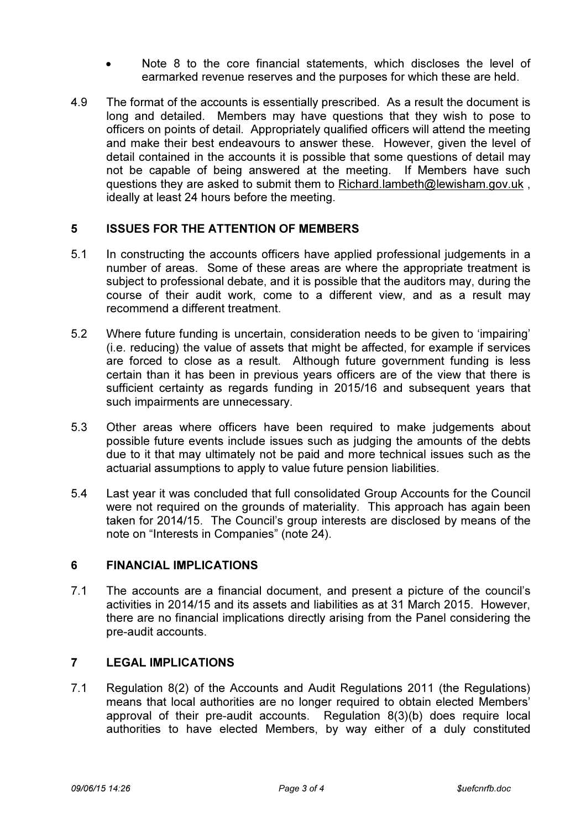- Note 8 to the core financial statements, which discloses the level of earmarked revenue reserves and the purposes for which these are held.
- 4.9 The format of the accounts is essentially prescribed. As a result the document is long and detailed. Members may have questions that they wish to pose to officers on points of detail. Appropriately qualified officers will attend the meeting and make their best endeavours to answer these. However, given the level of detail contained in the accounts it is possible that some questions of detail may not be capable of being answered at the meeting. If Members have such questions they are asked to submit them to Richard.lambeth@lewisham.gov.uk , ideally at least 24 hours before the meeting.

## 5 ISSUES FOR THE ATTENTION OF MEMBERS

- 5.1 In constructing the accounts officers have applied professional judgements in a number of areas. Some of these areas are where the appropriate treatment is subject to professional debate, and it is possible that the auditors may, during the course of their audit work, come to a different view, and as a result may recommend a different treatment.
- 5.2 Where future funding is uncertain, consideration needs to be given to 'impairing' (i.e. reducing) the value of assets that might be affected, for example if services are forced to close as a result. Although future government funding is less certain than it has been in previous years officers are of the view that there is sufficient certainty as regards funding in 2015/16 and subsequent years that such impairments are unnecessary.
- 5.3 Other areas where officers have been required to make judgements about possible future events include issues such as judging the amounts of the debts due to it that may ultimately not be paid and more technical issues such as the actuarial assumptions to apply to value future pension liabilities.
- 5.4 Last year it was concluded that full consolidated Group Accounts for the Council were not required on the grounds of materiality. This approach has again been taken for 2014/15. The Council's group interests are disclosed by means of the note on "Interests in Companies" (note 24).

# 6 FINANCIAL IMPLICATIONS

7.1 The accounts are a financial document, and present a picture of the council's activities in 2014/15 and its assets and liabilities as at 31 March 2015. However, there are no financial implications directly arising from the Panel considering the pre-audit accounts.

# 7 LEGAL IMPLICATIONS

7.1 Regulation 8(2) of the Accounts and Audit Regulations 2011 (the Regulations) means that local authorities are no longer required to obtain elected Members' approval of their pre-audit accounts. Regulation 8(3)(b) does require local authorities to have elected Members, by way either of a duly constituted